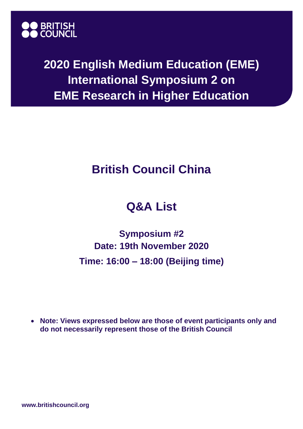

**2020 English Medium Education (EME) International Symposium 2 on EME Research in Higher Education**

## **British Council China**

## **Q&A List**

**Symposium #2 Date: 19th November 2020 Time: 16:00 – 18:00 (Beijing time)**

• **Note: Views expressed below are those of event participants only and do not necessarily represent those of the British Council**

**www.britishcouncil.org**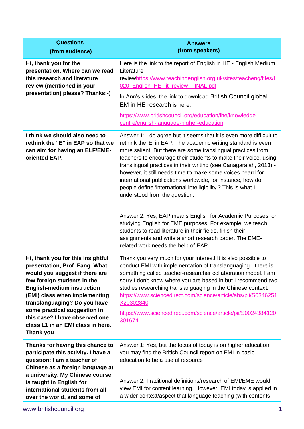| <b>Questions</b><br>(from audience)                                                                                                                                                                                                                                                                                                                                   | <b>Answers</b><br>(from speakers)                                                                                                                                                                                                                                                                                                                                                                                                                                                                                                                                                                                                                                                                                                                                                                                                                                  |
|-----------------------------------------------------------------------------------------------------------------------------------------------------------------------------------------------------------------------------------------------------------------------------------------------------------------------------------------------------------------------|--------------------------------------------------------------------------------------------------------------------------------------------------------------------------------------------------------------------------------------------------------------------------------------------------------------------------------------------------------------------------------------------------------------------------------------------------------------------------------------------------------------------------------------------------------------------------------------------------------------------------------------------------------------------------------------------------------------------------------------------------------------------------------------------------------------------------------------------------------------------|
| Hi, thank you for the<br>presentation. Where can we read<br>this research and literature<br>review (mentioned in your<br>presentation) please? Thanks:-)                                                                                                                                                                                                              | Here is the link to the report of English in HE - English Medium<br>Literature<br>reviewhttps://www.teachingenglish.org.uk/sites/teacheng/files/L<br>020 English HE lit review FINAL.pdf<br>In Ann's slides, the link to download British Council global<br>EM in HE research is here:<br>https://www.britishcouncil.org/education/ihe/knowledge-<br>centre/english-language-higher-education                                                                                                                                                                                                                                                                                                                                                                                                                                                                      |
| I think we should also need to<br>rethink the "E" in EAP so that we<br>can aim for having an ELF/EME-<br>oriented EAP.                                                                                                                                                                                                                                                | Answer 1: I do agree but it seems that it is even more difficult to<br>rethink the 'E' in EAP. The academic writing standard is even<br>more salient. But there are some translingual practices from<br>teachers to encourage their students to make their voice, using<br>translingual practices in their writing (see Canagarajah, 2013) -<br>however, it still needs time to make some voices heard for<br>international publications worldwide, for instance, how do<br>people define 'international intelligibility'? This is what I<br>understood from the question.<br>Answer 2: Yes, EAP means English for Academic Purposes, or<br>studying English for EME purposes. For example, we teach<br>students to read literature in their fields, finish their<br>assignments and write a short research paper. The EME-<br>related work needs the help of EAP. |
| Hi, thank you for this insightful<br>presentation, Prof. Fang. What<br>would you suggest if there are<br>few foreign students in the<br><b>English-medium instruction</b><br>(EMI) class when implementing<br>translanguaging? Do you have<br>some practical suggestion in<br>this case? I have observed one<br>class L1 in an EMI class in here.<br><b>Thank you</b> | Thank you very much for your interest! It is also possible to<br>conduct EMI with implementation of translanguaging - there is<br>something called teacher-researcher collaboration model. I am<br>sorry I don't know where you are based in but I recommend two<br>studies researching translanguaging in the Chinese context.<br>https://www.sciencedirect.com/science/article/abs/pii/S0346251<br>X20302840<br>https://www.sciencedirect.com/science/article/pii/S0024384120<br>301674                                                                                                                                                                                                                                                                                                                                                                          |
| Thanks for having this chance to<br>participate this activity. I have a<br>question: I am a teacher of<br>Chinese as a foreign language at<br>a university. My Chinese course<br>is taught in English for<br>international students from all<br>over the world, and some of                                                                                           | Answer 1: Yes, but the focus of today is on higher education.<br>you may find the British Council report on EMI in basic<br>education to be a useful resource<br>Answer 2: Traditional definitions/research of EMI/EME would<br>view EMI for content learning. However, EMI today is applied in<br>a wider context/aspect that language teaching (with contents                                                                                                                                                                                                                                                                                                                                                                                                                                                                                                    |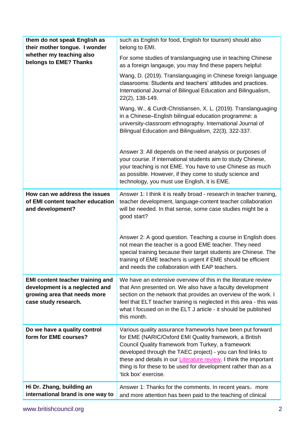| them do not speak English as<br>their mother tongue. I wonder                                                                     | such as English for food, English for tourism) should also<br>belong to EMI.                                                                                                                                                                                                                                                                                                                             |
|-----------------------------------------------------------------------------------------------------------------------------------|----------------------------------------------------------------------------------------------------------------------------------------------------------------------------------------------------------------------------------------------------------------------------------------------------------------------------------------------------------------------------------------------------------|
| whether my teaching also<br>belongs to EME? Thanks                                                                                | For some studies of translanguaging use in teaching Chinese<br>as a foreign langauge, you may find these papers helpful:                                                                                                                                                                                                                                                                                 |
|                                                                                                                                   | Wang, D. (2019). Translanguaging in Chinese foreign language<br>classrooms: Students and teachers' attitudes and practices.<br>International Journal of Bilingual Education and Bilingualism,<br>22(2), 138-149.                                                                                                                                                                                         |
|                                                                                                                                   | Wang, W., & Curdt-Christiansen, X. L. (2019). Translanguaging<br>in a Chinese-English bilingual education programme: a<br>university-classroom ethnography. International Journal of<br>Bilingual Education and Bilingualism, 22(3), 322-337.                                                                                                                                                            |
|                                                                                                                                   | Answer 3: All depends on the need analysis or purposes of<br>your course. If international students aim to study Chinese,<br>your teaching is not EME. You have to use Chinese as much<br>as possible. However, if they come to study science and<br>technology, you must use English, it is EME.                                                                                                        |
| How can we address the issues<br>of EMI content teacher education<br>and development?                                             | Answer 1: I think it is really broad - research in teacher training,<br>teacher development, language-content teacher collaboration<br>will be needed. In that sense, some case studies might be a<br>good start?                                                                                                                                                                                        |
|                                                                                                                                   | Answer 2: A good question. Teaching a course in English does<br>not mean the teacher is a good EME teacher. They need<br>special training because their target students are Chinese. The<br>training of EME teachers is urgent if EME should be efficient<br>and needs the collaboration with EAP teachers.                                                                                              |
| <b>EMI content teacher training and</b><br>development is a neglected and<br>growing area that needs more<br>case study research. | We have an extensive overview of this in the literature review<br>that Ann presented on. We also have a faculty development<br>section on the network that provides an overview of the work. I<br>feel that ELT teacher training is neglected in this area - this was<br>what I focused on in the ELT J article - it should be published<br>this month.                                                  |
| Do we have a quality control<br>form for EME courses?                                                                             | Various quality assurance frameworks have been put forward<br>for EME (NARIC/Oxford EMI Quality framework, a British<br>Council Quality framework from Turkey, a framework<br>developed through the TAEC project) - you can find links to<br>these and details in our Literature review. I think the important<br>thing is for these to be used for development rather than as a<br>'tick box' exercise. |
| Hi Dr. Zhang, building an<br>international brand is one way to                                                                    | Answer 1: Thanks for the comments. In recent years, more<br>and more attention has been paid to the teaching of clinical                                                                                                                                                                                                                                                                                 |